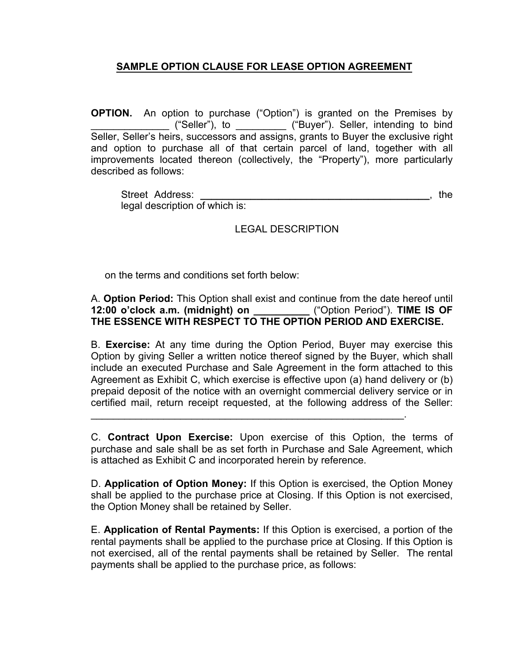## **SAMPLE OPTION CLAUSE FOR LEASE OPTION AGREEMENT**

**OPTION.** An option to purchase ("Option") is granted on the Premises by \_\_\_\_\_\_\_\_\_\_\_\_\_\_ ("Seller"), to \_\_\_\_\_\_\_\_\_ ("Buyer"). Seller, intending to bind Seller, Seller's heirs, successors and assigns, grants to Buyer the exclusive right and option to purchase all of that certain parcel of land, together with all improvements located thereon (collectively, the "Property"), more particularly described as follows:

Street Address: **\_\_\_\_\_\_\_\_\_\_\_\_\_\_\_\_\_\_\_\_\_\_\_\_\_\_\_\_\_\_\_\_\_\_\_\_\_\_\_\_\_**, the legal description of which is:

## LEGAL DESCRIPTION

on the terms and conditions set forth below:

A. **Option Period:** This Option shall exist and continue from the date hereof until **12:00 o'clock a.m. (midnight) on \_\_\_\_\_\_\_\_\_\_** ("Option Period"). **TIME IS OF THE ESSENCE WITH RESPECT TO THE OPTION PERIOD AND EXERCISE.** 

B. **Exercise:** At any time during the Option Period, Buyer may exercise this Option by giving Seller a written notice thereof signed by the Buyer, which shall include an executed Purchase and Sale Agreement in the form attached to this Agreement as Exhibit C, which exercise is effective upon (a) hand delivery or (b) prepaid deposit of the notice with an overnight commercial delivery service or in certified mail, return receipt requested, at the following address of the Seller:

C. **Contract Upon Exercise:** Upon exercise of this Option, the terms of purchase and sale shall be as set forth in Purchase and Sale Agreement, which is attached as Exhibit C and incorporated herein by reference.

\_\_\_\_\_\_\_\_\_\_\_\_\_\_\_\_\_\_\_\_\_\_\_\_\_\_\_\_\_\_\_\_\_\_\_\_\_\_\_\_\_\_\_\_\_\_\_\_\_\_\_\_\_\_\_\_.

D. **Application of Option Money:** If this Option is exercised, the Option Money shall be applied to the purchase price at Closing. If this Option is not exercised, the Option Money shall be retained by Seller.

E. **Application of Rental Payments:** If this Option is exercised, a portion of the rental payments shall be applied to the purchase price at Closing. If this Option is not exercised, all of the rental payments shall be retained by Seller. The rental payments shall be applied to the purchase price, as follows: